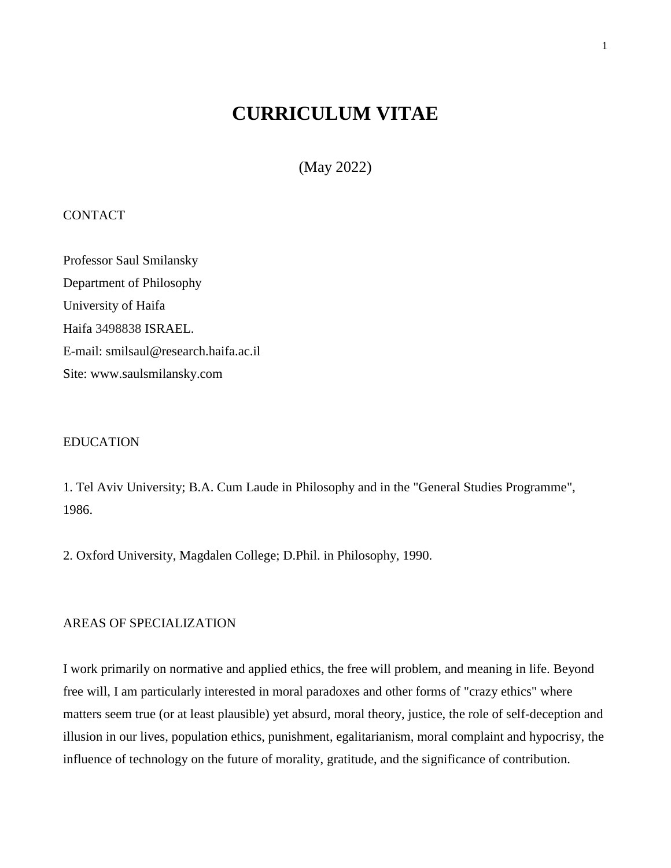# **CURRICULUM VITAE**

(May 2022)

# **CONTACT**

Professor Saul Smilansky Department of Philosophy University of Haifa Haifa 3498838 ISRAEL. E-mail: smilsaul@research.haifa.ac.il Site: www.saulsmilansky.com

#### EDUCATION

1. Tel Aviv University; B.A. Cum Laude in Philosophy and in the "General Studies Programme", 1986.

2. Oxford University, Magdalen College; D.Phil. in Philosophy, 1990.

#### AREAS OF SPECIALIZATION

I work primarily on normative and applied ethics, the free will problem, and meaning in life. Beyond free will, I am particularly interested in moral paradoxes and other forms of "crazy ethics" where matters seem true (or at least plausible) yet absurd, moral theory, justice, the role of self-deception and illusion in our lives, population ethics, punishment, egalitarianism, moral complaint and hypocrisy, the influence of technology on the future of morality, gratitude, and the significance of contribution.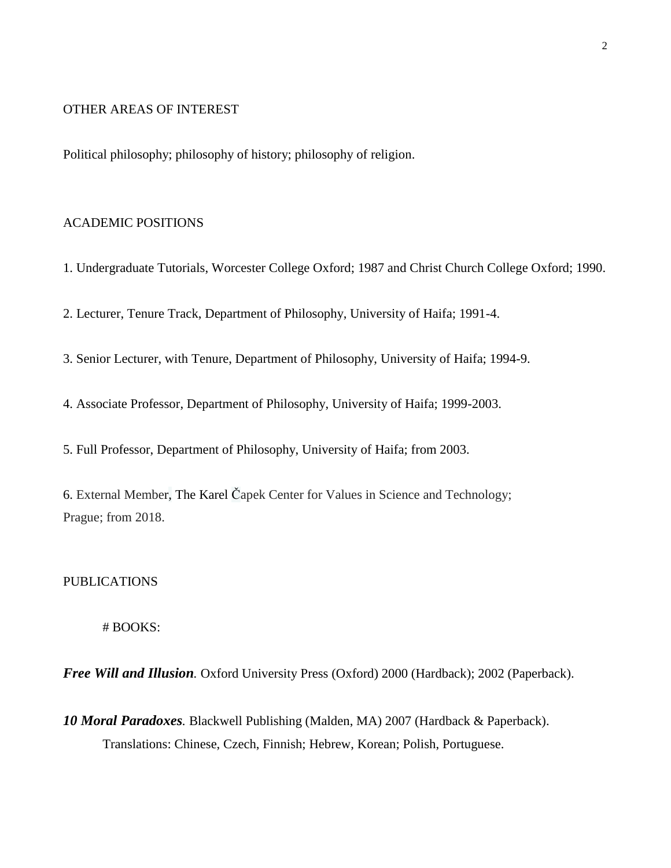### OTHER AREAS OF INTEREST

Political philosophy; philosophy of history; philosophy of religion.

#### ACADEMIC POSITIONS

1. Undergraduate Tutorials, Worcester College Oxford; 1987 and Christ Church College Oxford; 1990.

2. Lecturer, Tenure Track, Department of Philosophy, University of Haifa; 1991-4.

3. Senior Lecturer, with Tenure, Department of Philosophy, University of Haifa; 1994-9.

4. Associate Professor, Department of Philosophy, University of Haifa; 1999-2003.

5. Full Professor, Department of Philosophy, University of Haifa; from 2003.

6. External Member, The Karel Čapek Center for Values in Science and Technology; Prague; from 2018.

# PUBLICATIONS

# BOOKS:

*Free Will and Illusion.* Oxford University Press (Oxford) 2000 (Hardback); 2002 (Paperback).

*10 Moral Paradoxes.* Blackwell Publishing (Malden, MA) 2007 (Hardback & Paperback). Translations: Chinese, Czech, Finnish; Hebrew, Korean; Polish, Portuguese.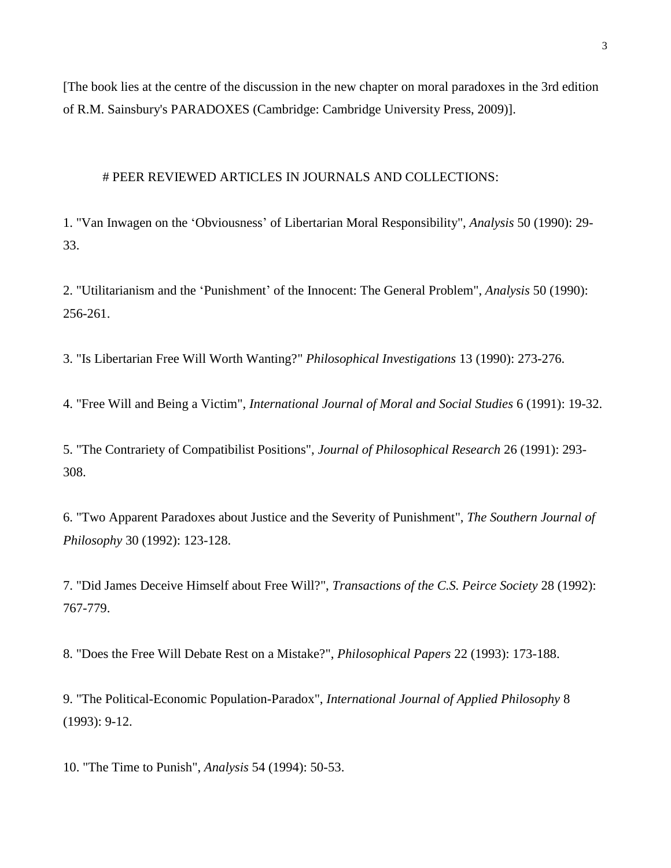[The book lies at the centre of the discussion in the new chapter on moral paradoxes in the 3rd edition of R.M. Sainsbury's PARADOXES (Cambridge: Cambridge University Press, 2009)].

# PEER REVIEWED ARTICLES IN JOURNALS AND COLLECTIONS:

1. "Van Inwagen on the 'Obviousness' of Libertarian Moral Responsibility", *Analysis* 50 (1990): 29- 33.

2. "Utilitarianism and the 'Punishment' of the Innocent: The General Problem", *Analysis* 50 (1990): 256-261.

3. "Is Libertarian Free Will Worth Wanting?" *Philosophical Investigations* 13 (1990): 273-276.

4. "Free Will and Being a Victim", *International Journal of Moral and Social Studies* 6 (1991): 19-32.

5. "The Contrariety of Compatibilist Positions", *Journal of Philosophical Research* 26 (1991): 293- 308.

6. "Two Apparent Paradoxes about Justice and the Severity of Punishment", *The Southern Journal of Philosophy* 30 (1992): 123-128.

7. "Did James Deceive Himself about Free Will?", *Transactions of the C.S. Peirce Society* 28 (1992): 767-779.

8. "Does the Free Will Debate Rest on a Mistake?", *Philosophical Papers* 22 (1993): 173-188.

9. "The Political-Economic Population-Paradox", *International Journal of Applied Philosophy* 8 (1993): 9-12.

10. "The Time to Punish", *Analysis* 54 (1994): 50-53.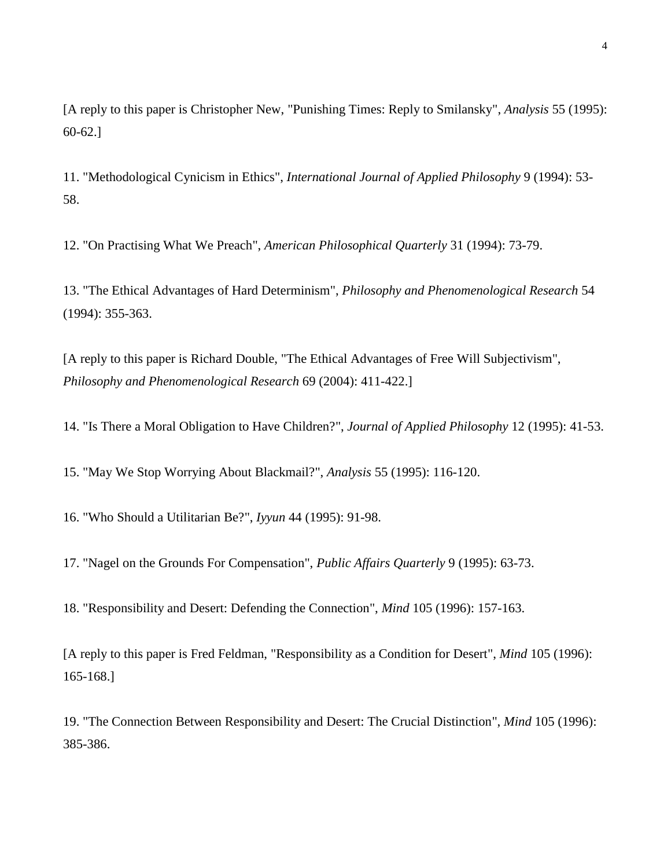[A reply to this paper is Christopher New, "Punishing Times: Reply to Smilansky", *Analysis* 55 (1995): 60-62.]

11. "Methodological Cynicism in Ethics", *International Journal of Applied Philosophy* 9 (1994): 53- 58.

12. "On Practising What We Preach", *American Philosophical Quarterly* 31 (1994): 73-79.

13. "The Ethical Advantages of Hard Determinism", *Philosophy and Phenomenological Research* 54 (1994): 355-363.

[A reply to this paper is Richard Double, "The Ethical Advantages of Free Will Subjectivism", *Philosophy and Phenomenological Research* 69 (2004): 411-422.]

14. "Is There a Moral Obligation to Have Children?", *Journal of Applied Philosophy* 12 (1995): 41-53.

15. "May We Stop Worrying About Blackmail?", *Analysis* 55 (1995): 116-120.

16. "Who Should a Utilitarian Be?", *Iyyun* 44 (1995): 91-98.

17. "Nagel on the Grounds For Compensation", *Public Affairs Quarterly* 9 (1995): 63-73.

18. "Responsibility and Desert: Defending the Connection", *Mind* 105 (1996): 157-163.

[A reply to this paper is Fred Feldman, "Responsibility as a Condition for Desert", *Mind* 105 (1996): 165-168.]

19. "The Connection Between Responsibility and Desert: The Crucial Distinction", *Mind* 105 (1996): 385-386.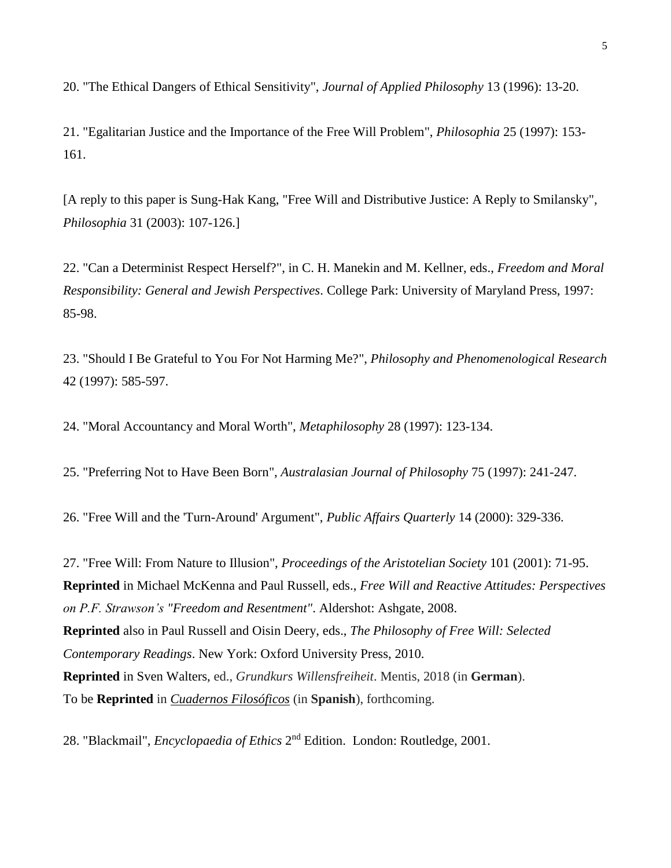20. "The Ethical Dangers of Ethical Sensitivity", *Journal of Applied Philosophy* 13 (1996): 13-20.

21. "Egalitarian Justice and the Importance of the Free Will Problem", *Philosophia* 25 (1997): 153- 161.

[A reply to this paper is Sung-Hak Kang, "Free Will and Distributive Justice: A Reply to Smilansky", *Philosophia* 31 (2003): 107-126.]

22. "Can a Determinist Respect Herself?", in C. H. Manekin and M. Kellner, eds., *Freedom and Moral Responsibility: General and Jewish Perspectives*. College Park: University of Maryland Press, 1997: 85-98.

23. "Should I Be Grateful to You For Not Harming Me?", *Philosophy and Phenomenological Research* 42 (1997): 585-597.

24. "Moral Accountancy and Moral Worth", *Metaphilosophy* 28 (1997): 123-134.

25. "Preferring Not to Have Been Born", *Australasian Journal of Philosophy* 75 (1997): 241-247.

26. "Free Will and the 'Turn-Around' Argument", *Public Affairs Quarterly* 14 (2000): 329-336.

27. "Free Will: From Nature to Illusion", *Proceedings of the Aristotelian Society* 101 (2001): 71-95. **Reprinted** in Michael McKenna and Paul Russell, eds., *Free Will and Reactive Attitudes: Perspectives on P.F. Strawson's "Freedom and Resentment"*. Aldershot: Ashgate, 2008. **Reprinted** also in Paul Russell and Oisin Deery, eds., *The Philosophy of Free Will: Selected Contemporary Readings*. New York: Oxford University Press, 2010. **Reprinted** in Sven Walters, ed., *Grundkurs Willensfreiheit*. Mentis, 2018 (in **German**). To be **Reprinted** in *[Cuadernos Filosóficos](https://cuadernosfilosoficos.unr.edu.ar/)* (in **Spanish**), forthcoming.

28. "Blackmail", *Encyclopaedia of Ethics* 2<sup>nd</sup> Edition. London: Routledge, 2001.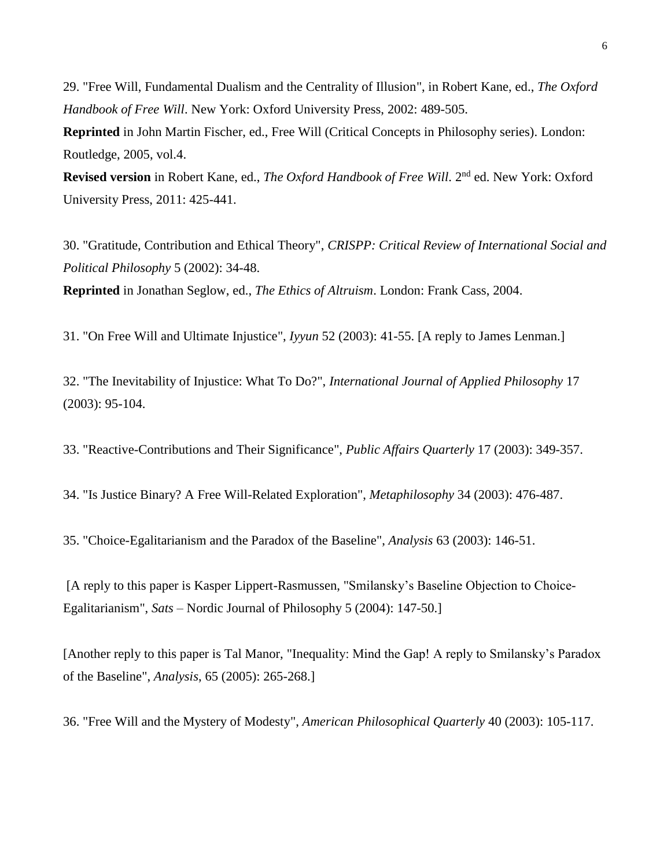29. "Free Will, Fundamental Dualism and the Centrality of Illusion", in Robert Kane, ed., *The Oxford Handbook of Free Will*. New York: Oxford University Press, 2002: 489-505.

**Reprinted** in John Martin Fischer, ed., Free Will (Critical Concepts in Philosophy series). London: Routledge, 2005, vol.4.

Revised version in Robert Kane, ed., *The Oxford Handbook of Free Will*. 2<sup>nd</sup> ed. New York: Oxford University Press, 2011: 425-441.

30. "Gratitude, Contribution and Ethical Theory", *CRISPP: Critical Review of International Social and Political Philosophy* 5 (2002): 34-48. **Reprinted** in Jonathan Seglow, ed., *The Ethics of Altruism*. London: Frank Cass, 2004.

31. "On Free Will and Ultimate Injustice", *Iyyun* 52 (2003): 41-55. [A reply to James Lenman.]

32. "The Inevitability of Injustice: What To Do?", *International Journal of Applied Philosophy* 17 (2003): 95-104.

33. "Reactive-Contributions and Their Significance", *Public Affairs Quarterly* 17 (2003): 349-357.

34. "Is Justice Binary? A Free Will-Related Exploration", *Metaphilosophy* 34 (2003): 476-487.

35. "Choice-Egalitarianism and the Paradox of the Baseline", *Analysis* 63 (2003): 146-51.

[A reply to this paper is Kasper Lippert-Rasmussen, "Smilansky's Baseline Objection to Choice-Egalitarianism", *Sats* – Nordic Journal of Philosophy 5 (2004): 147-50.]

[Another reply to this paper is Tal Manor, "Inequality: Mind the Gap! A reply to Smilansky's Paradox of the Baseline", *Analysis*, 65 (2005): 265-268.]

36. "Free Will and the Mystery of Modesty", *American Philosophical Quarterly* 40 (2003): 105-117.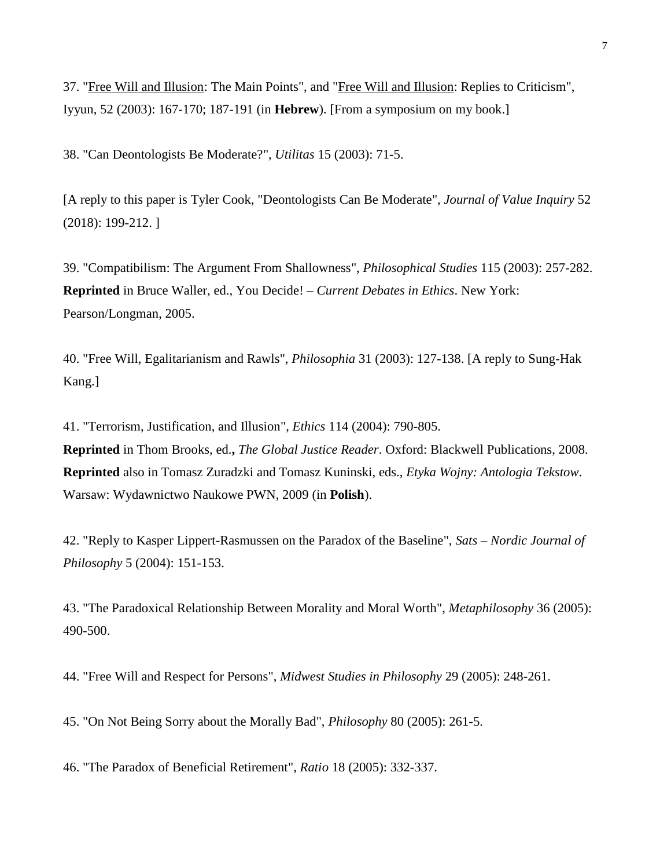37. "Free Will and Illusion: The Main Points", and "Free Will and Illusion: Replies to Criticism", Iyyun, 52 (2003): 167-170; 187-191 (in **Hebrew**). [From a symposium on my book.]

38. "Can Deontologists Be Moderate?", *Utilitas* 15 (2003): 71-5.

[A reply to this paper is Tyler Cook, "Deontologists Can Be Moderate", *Journal of Value Inquiry* 52 (2018): 199-212. ]

39. "Compatibilism: The Argument From Shallowness", *Philosophical Studies* 115 (2003): 257-282. **Reprinted** in Bruce Waller, ed., You Decide! – *Current Debates in Ethics*. New York: Pearson/Longman, 2005.

40. "Free Will, Egalitarianism and Rawls", *Philosophia* 31 (2003): 127-138. [A reply to Sung-Hak Kang.]

41. "Terrorism, Justification, and Illusion", *Ethics* 114 (2004): 790-805. **Reprinted** in Thom Brooks, ed.**,** *The Global Justice Reader*. Oxford: Blackwell Publications, 2008. **Reprinted** also in Tomasz Zuradzki and Tomasz Kuninski, eds., *Etyka Wojny: Antologia Tekstow*. Warsaw: Wydawnictwo Naukowe PWN, 2009 (in **Polish**).

42. "Reply to Kasper Lippert-Rasmussen on the Paradox of the Baseline", *Sats – Nordic Journal of Philosophy* 5 (2004): 151-153.

43. "The Paradoxical Relationship Between Morality and Moral Worth", *Metaphilosophy* 36 (2005): 490-500.

44. "Free Will and Respect for Persons", *Midwest Studies in Philosophy* 29 (2005): 248-261.

45. "On Not Being Sorry about the Morally Bad", *Philosophy* 80 (2005): 261-5.

46. "The Paradox of Beneficial Retirement", *Ratio* 18 (2005): 332-337.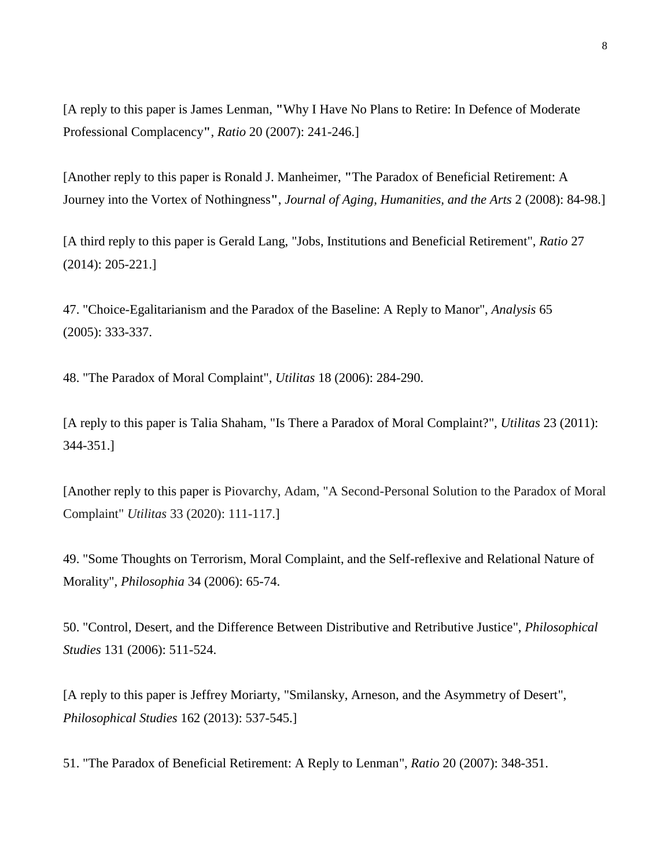[A reply to this paper is James Lenman, **"**Why I Have No Plans to Retire: In Defence of Moderate Professional Complacency**"**, *Ratio* 20 (2007): 241-246.]

[Another reply to this paper is Ronald J. Manheimer, **"**The Paradox of Beneficial Retirement: A Journey into the Vortex of Nothingness**"**, *Journal of Aging, Humanities, and the Arts* 2 (2008): 84-98.]

[A third reply to this paper is Gerald Lang, "Jobs, Institutions and Beneficial Retirement", *Ratio* 27 (2014): 205-221.]

47. "Choice-Egalitarianism and the Paradox of the Baseline: A Reply to Manor", *Analysis* 65 (2005): 333-337.

48. "The Paradox of Moral Complaint", *Utilitas* 18 (2006): 284-290.

[A reply to this paper is Talia Shaham, "Is There a Paradox of Moral Complaint?", *Utilitas* 23 (2011): 344-351.]

[Another reply to this paper is Piovarchy, Adam, "A Second-Personal Solution to the Paradox of Moral Complaint" *Utilitas* 33 (2020): 111-117.]

49. "Some Thoughts on Terrorism, Moral Complaint, and the Self-reflexive and Relational Nature of Morality", *Philosophia* 34 (2006): 65-74.

50. "Control, Desert, and the Difference Between Distributive and Retributive Justice", *Philosophical Studies* 131 (2006): 511-524.

[A reply to this paper is Jeffrey Moriarty, "Smilansky, Arneson, and the Asymmetry of Desert", *Philosophical Studies* 162 (2013): 537-545.]

51. "The Paradox of Beneficial Retirement: A Reply to Lenman", *Ratio* 20 (2007): 348-351.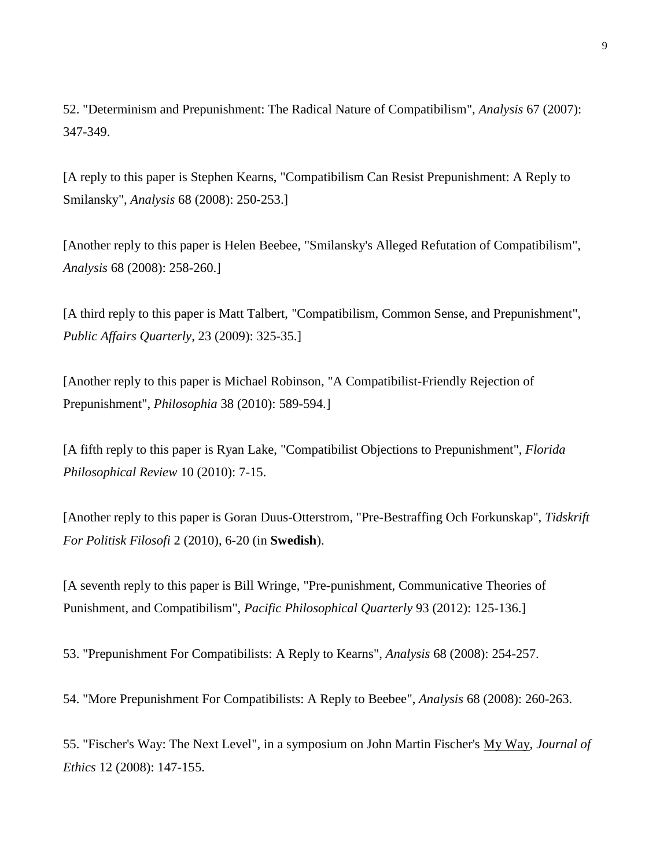52. "Determinism and Prepunishment: The Radical Nature of Compatibilism", *Analysis* 67 (2007): 347-349.

[A reply to this paper is Stephen Kearns, "Compatibilism Can Resist Prepunishment: A Reply to Smilansky", *Analysis* 68 (2008): 250-253.]

[Another reply to this paper is Helen Beebee, "Smilansky's Alleged Refutation of Compatibilism", *Analysis* 68 (2008): 258-260.]

[A third reply to this paper is Matt Talbert, "Compatibilism, Common Sense, and Prepunishment", *Public Affairs Quarterly*, 23 (2009): 325-35.]

[Another reply to this paper is Michael Robinson, "A Compatibilist-Friendly Rejection of Prepunishment", *Philosophia* 38 (2010): 589-594.]

[A fifth reply to this paper is Ryan Lake, "Compatibilist Objections to Prepunishment", *Florida Philosophical Review* 10 (2010): 7-15.

[Another reply to this paper is Goran Duus-Otterstrom, "Pre-Bestraffing Och Forkunskap", *Tidskrift For Politisk Filosofi* 2 (2010), 6-20 (in **Swedish**).

[A seventh reply to this paper is Bill Wringe, "Pre-punishment, Communicative Theories of Punishment, and Compatibilism", *Pacific Philosophical Quarterly* 93 (2012): 125-136.]

53. "Prepunishment For Compatibilists: A Reply to Kearns", *Analysis* 68 (2008): 254-257.

54. "More Prepunishment For Compatibilists: A Reply to Beebee", *Analysis* 68 (2008): 260-263.

55. "Fischer's Way: The Next Level", in a symposium on John Martin Fischer's My Way, *Journal of Ethics* 12 (2008): 147-155.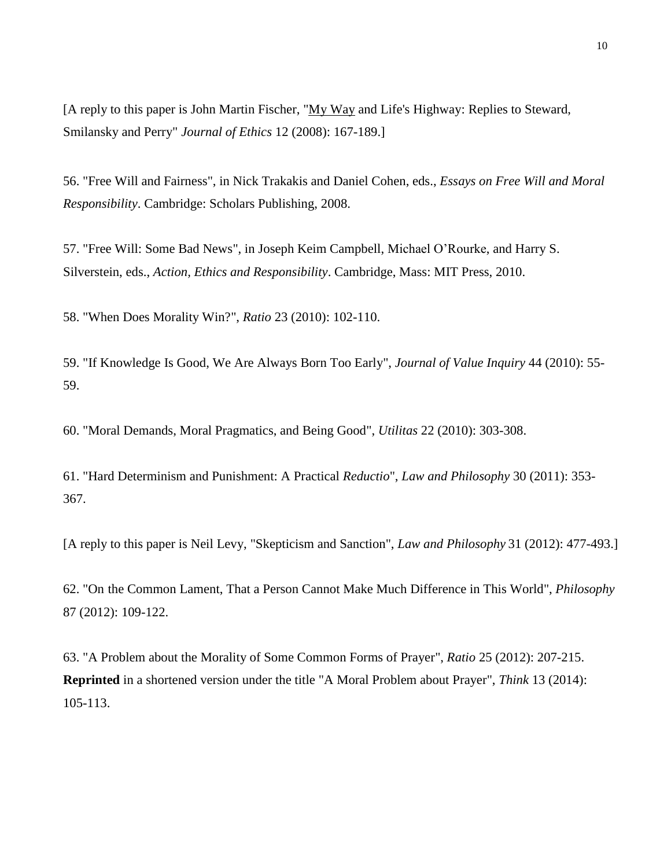[A reply to this paper is John Martin Fischer, "My Way and Life's Highway: Replies to Steward, Smilansky and Perry" *Journal of Ethics* 12 (2008): 167-189.]

56. "Free Will and Fairness", in Nick Trakakis and Daniel Cohen, eds., *Essays on Free Will and Moral Responsibility*. Cambridge: Scholars Publishing, 2008.

57. "Free Will: Some Bad News", in Joseph Keim Campbell, Michael O'Rourke, and Harry S. Silverstein, eds., *Action, Ethics and Responsibility*. Cambridge, Mass: MIT Press, 2010.

58. "When Does Morality Win?", *Ratio* 23 (2010): 102-110.

59. "If Knowledge Is Good, We Are Always Born Too Early", *Journal of Value Inquiry* 44 (2010): 55- 59.

60. "Moral Demands, Moral Pragmatics, and Being Good", *Utilitas* 22 (2010): 303-308.

61. "Hard Determinism and Punishment: A Practical *Reductio*", *Law and Philosophy* 30 (2011): 353- 367.

[A reply to this paper is Neil Levy, "Skepticism and Sanction", *Law and Philosophy* 31 (2012): 477-493.]

62. "On the Common Lament, That a Person Cannot Make Much Difference in This World", *Philosophy* 87 (2012): 109-122.

63. "A Problem about the Morality of Some Common Forms of Prayer", *Ratio* 25 (2012): 207-215. **Reprinted** in a shortened version under the title "A Moral Problem about Prayer", *Think* 13 (2014): 105-113.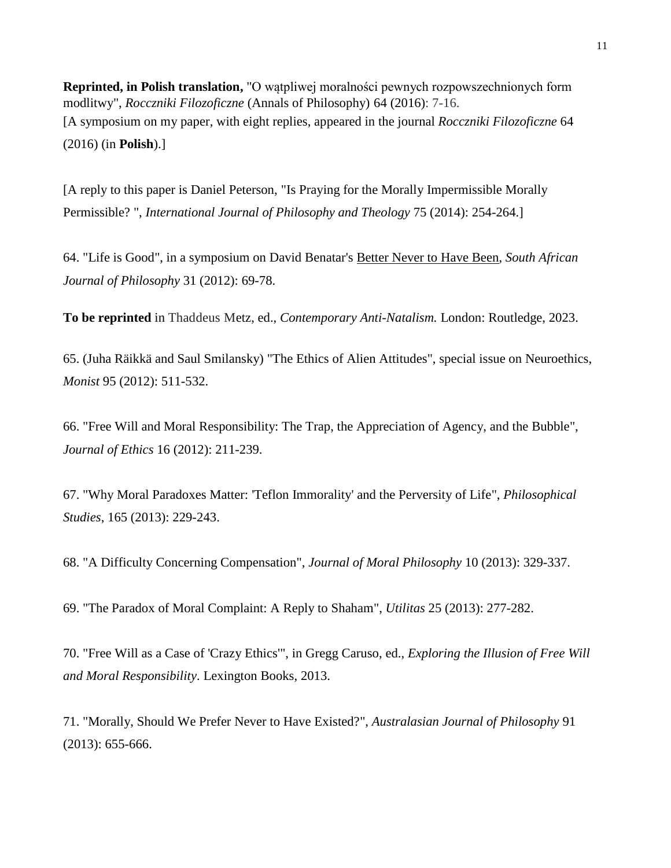**Reprinted, in Polish translation,** "O watpliwei moralności pewnych rozpowszechnionych form modlitwy", *Rocczniki Filozoficzne* (Annals of Philosophy) 64 (2016): 7-16. [A symposium on my paper, with eight replies, appeared in the journal *Rocczniki Filozoficzne* 64 (2016) (in **Polish**).]

[A reply to this paper is Daniel Peterson, "Is Praying for the Morally Impermissible Morally Permissible? ", *International Journal of Philosophy and Theology* 75 (2014): 254-264.]

64. "Life is Good", in a symposium on David Benatar's Better Never to Have Been, *South African Journal of Philosophy* 31 (2012): 69-78.

**To be reprinted** in Thaddeus Metz, ed., *Contemporary Anti-Natalism.* London: Routledge, 2023.

65. (Juha Räikkä and Saul Smilansky) "The Ethics of Alien Attitudes", special issue on Neuroethics, *Monist* 95 (2012): 511-532.

66. "Free Will and Moral Responsibility: The Trap, the Appreciation of Agency, and the Bubble", *Journal of Ethics* 16 (2012): 211-239.

67. "Why Moral Paradoxes Matter: 'Teflon Immorality' and the Perversity of Life", *Philosophical Studies*, 165 (2013): 229-243.

68. "A Difficulty Concerning Compensation", *Journal of Moral Philosophy* 10 (2013): 329-337.

69. "The Paradox of Moral Complaint: A Reply to Shaham", *Utilitas* 25 (2013): 277-282.

70. "Free Will as a Case of 'Crazy Ethics'", in Gregg Caruso, ed., *Exploring the Illusion of Free Will and Moral Responsibility*. Lexington Books, 2013.

71. "Morally, Should We Prefer Never to Have Existed?", *Australasian Journal of Philosophy* 91 (2013): 655-666.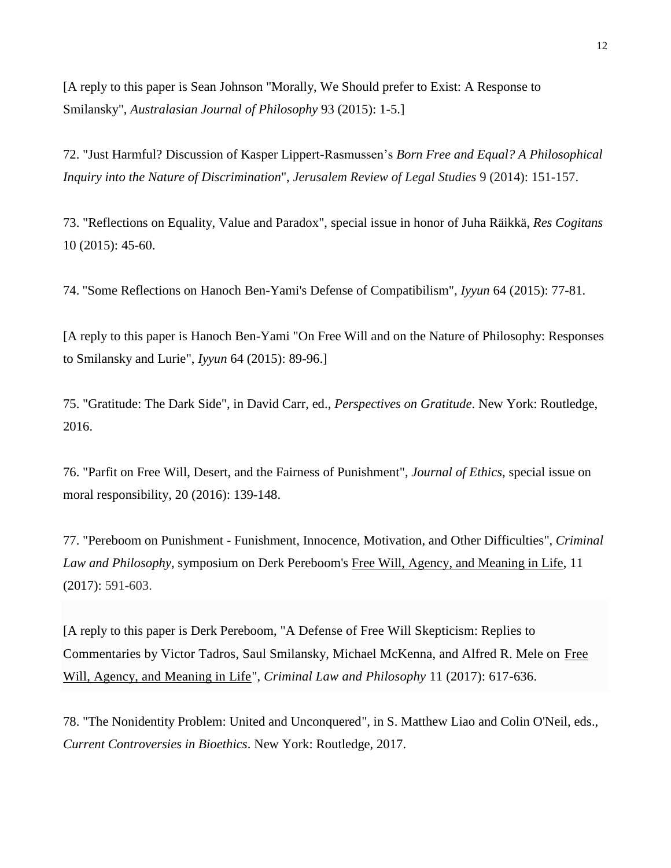[A reply to this paper is Sean Johnson "Morally, We Should prefer to Exist: A Response to Smilansky", *Australasian Journal of Philosophy* 93 (2015): 1-5.]

72. "Just Harmful? Discussion of Kasper Lippert-Rasmussen's *Born Free and Equal? A Philosophical Inquiry into the Nature of Discrimination*", *Jerusalem Review of Legal Studies* 9 (2014): 151-157.

73. "Reflections on Equality, Value and Paradox", special issue in honor of Juha Räikkä, *Res Cogitans* 10 (2015): 45-60.

74. "Some Reflections on Hanoch Ben-Yami's Defense of Compatibilism", *Iyyun* 64 (2015): 77-81.

[A reply to this paper is Hanoch Ben-Yami "On Free Will and on the Nature of Philosophy: Responses to Smilansky and Lurie", *Iyyun* 64 (2015): 89-96.]

75. "Gratitude: The Dark Side", in David Carr, ed., *Perspectives on Gratitude*. New York: Routledge, 2016.

76. "Parfit on Free Will, Desert, and the Fairness of Punishment", *Journal of Ethics*, special issue on moral responsibility, 20 (2016): 139-148.

77. "Pereboom on Punishment - Funishment, Innocence, Motivation, and Other Difficulties", *Criminal Law and Philosophy*, symposium on Derk Pereboom's Free Will, Agency, and Meaning in Life, 11 (2017): 591-603.

[A reply to this paper is Derk Pereboom, "A Defense of Free Will Skepticism: Replies to Commentaries by Victor Tadros, Saul Smilansky, Michael McKenna, and Alfred R. Mele on Free Will, Agency, and Meaning in Life", *Criminal Law and Philosophy* 11 (2017): 617-636.

78. "The Nonidentity Problem: United and Unconquered", in S. Matthew Liao and Colin O'Neil, eds., *Current Controversies in Bioethics*. New York: Routledge, 2017.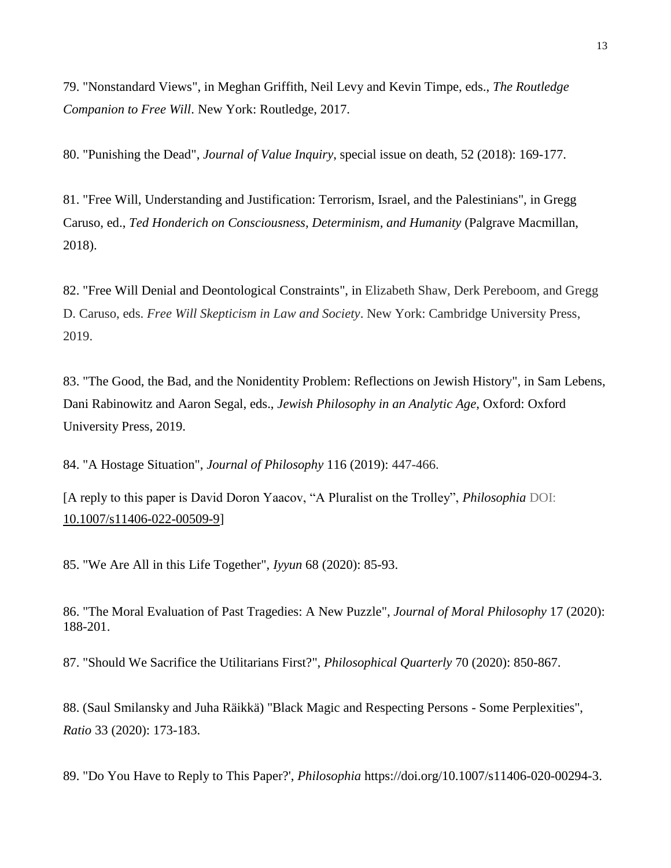79. "Nonstandard Views", in Meghan Griffith, Neil Levy and Kevin Timpe, eds., *The Routledge Companion to Free Will*. New York: Routledge, 2017.

80. "Punishing the Dead", *Journal of Value Inquiry*, special issue on death, 52 (2018): 169-177.

81. "Free Will, Understanding and Justification: Terrorism, Israel, and the Palestinians", in Gregg Caruso, ed., *Ted Honderich on Consciousness, Determinism, and Humanity* (Palgrave Macmillan, 2018).

82. "Free Will Denial and Deontological Constraints", in Elizabeth Shaw, Derk Pereboom, and Gregg D. Caruso, eds. *Free Will Skepticism in Law and Society*. New York: Cambridge University Press, 2019.

83. "The Good, the Bad, and the Nonidentity Problem: Reflections on Jewish History", in Sam Lebens, Dani Rabinowitz and Aaron Segal, eds., *Jewish Philosophy in an Analytic Age*, Oxford: Oxford University Press, 2019.

84. "A Hostage Situation", *Journal of Philosophy* 116 (2019): 447-466.

[A reply to this paper is David Doron Yaacov, "A Pluralist on the Trolley", *Philosophia* DOI: [10.1007/s11406-022-00509-9\]](http://dx.doi.org/10.1007/s11406-022-00509-9)

85. "We Are All in this Life Together", *Iyyun* 68 (2020): 85-93.

86. "The Moral Evaluation of Past Tragedies: A New Puzzle", *Journal of Moral Philosophy* 17 (2020): 188-201.

87. "Should We Sacrifice the Utilitarians First?", *Philosophical Quarterly* 70 [\(2020\):](https://doi.org/10.1093/pq/pqaa003) 850-867.

88. (Saul Smilansky and Juha Räikkä) "Black Magic and Respecting Persons - Some Perplexities", *Ratio* 33 (2020): 173-183.

89. "Do You Have to Reply to This Paper?', *Philosophia* [https://doi.org/10.1007/s11406-020-00294-3.](https://doi.org/10.1007/s11406-020-00294-3)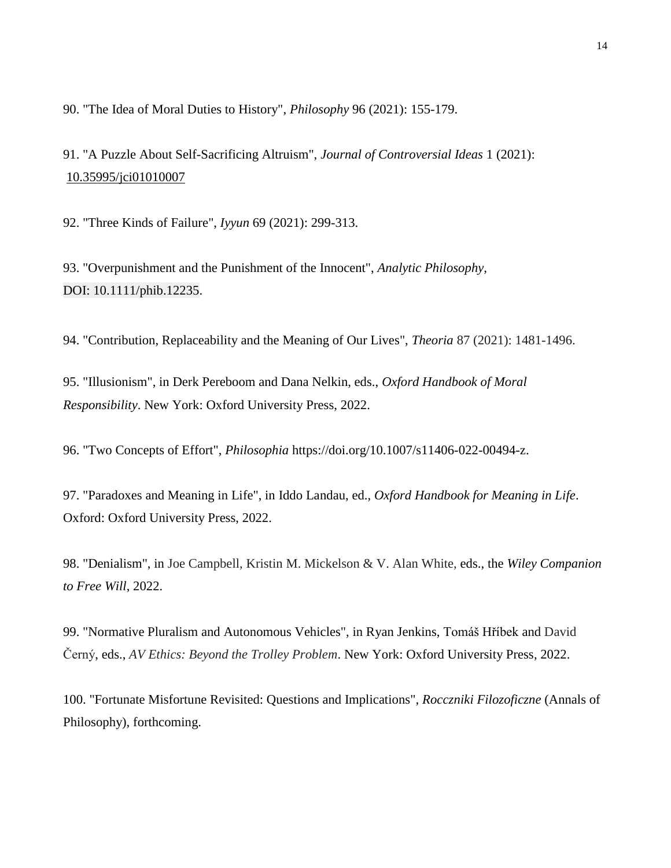90. "The Idea of Moral Duties to History", *Philosophy* 96 (2021): 155-179.

91. "A Puzzle About Self-Sacrificing Altruism", *Journal of Controversial Ideas* 1 (2021): [10.35995/jci01010007](http://dx.doi.org/10.35995/jci01010007)

92. "Three Kinds of Failure", *Iyyun* 69 (2021): 299-313.

93. "Overpunishment and the Punishment of the Innocent", *Analytic Philosophy*, DOI: 10.1111/phib.12235.

94. "Contribution, Replaceability and the Meaning of Our Lives", *Theoria* 87 (2021): 1481-1496.

95. "Illusionism", in Derk Pereboom and Dana Nelkin, eds., *Oxford Handbook of Moral Responsibility*. New York: Oxford University Press, 2022.

96. "Two Concepts of Effort", *Philosophia* https://doi.org/10.1007/s11406-022-00494-z.

97. "Paradoxes and Meaning in Life", in Iddo Landau, ed., *Oxford Handbook for Meaning in Life*. Oxford: Oxford University Press, 2022.

98. "Denialism", in Joe Campbell, Kristin M. Mickelson & V. Alan White, eds., the *Wiley Companion to Free Will*, 2022.

99. "Normative Pluralism and Autonomous Vehicles", in Ryan Jenkins, Tomáš Hříbek and David Černý, eds., *AV Ethics: Beyond the Trolley Problem*. New York: Oxford University Press, 2022.

100. "Fortunate Misfortune Revisited: Questions and Implications", *Rocczniki Filozoficzne* (Annals of Philosophy), forthcoming.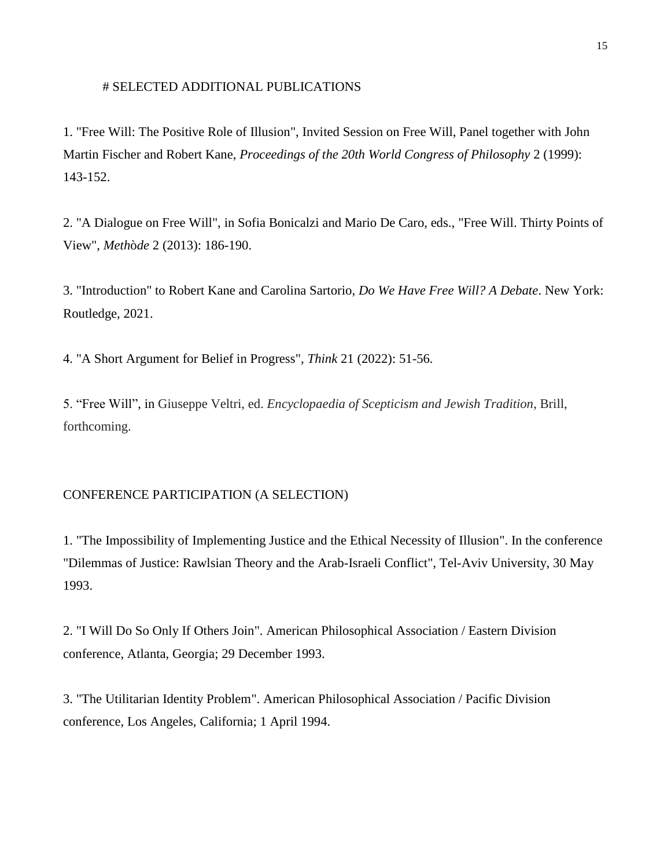#### # SELECTED ADDITIONAL PUBLICATIONS

1. "Free Will: The Positive Role of Illusion", Invited Session on Free Will, Panel together with John Martin Fischer and Robert Kane, *Proceedings of the 20th World Congress of Philosophy* 2 (1999): 143-152.

2. "A Dialogue on Free Will", in Sofia Bonicalzi and Mario De Caro, eds., "Free Will. Thirty Points of View", *Meth*ò*de* 2 (2013): 186-190.

3. "Introduction" to Robert Kane and Carolina Sartorio, *Do We Have Free Will? A Debate*. New York: Routledge, 2021.

4. "A Short Argument for Belief in Progress", *Think* 21 (2022): 51-56.

5. "Free Will", in Giuseppe Veltri, ed. *Encyclopaedia of Scepticism and Jewish Tradition*, Brill, forthcoming.

# CONFERENCE PARTICIPATION (A SELECTION)

1. "The Impossibility of Implementing Justice and the Ethical Necessity of Illusion". In the conference "Dilemmas of Justice: Rawlsian Theory and the Arab-Israeli Conflict", Tel-Aviv University, 30 May 1993.

2. "I Will Do So Only If Others Join". American Philosophical Association / Eastern Division conference, Atlanta, Georgia; 29 December 1993.

3. "The Utilitarian Identity Problem". American Philosophical Association / Pacific Division conference, Los Angeles, California; 1 April 1994.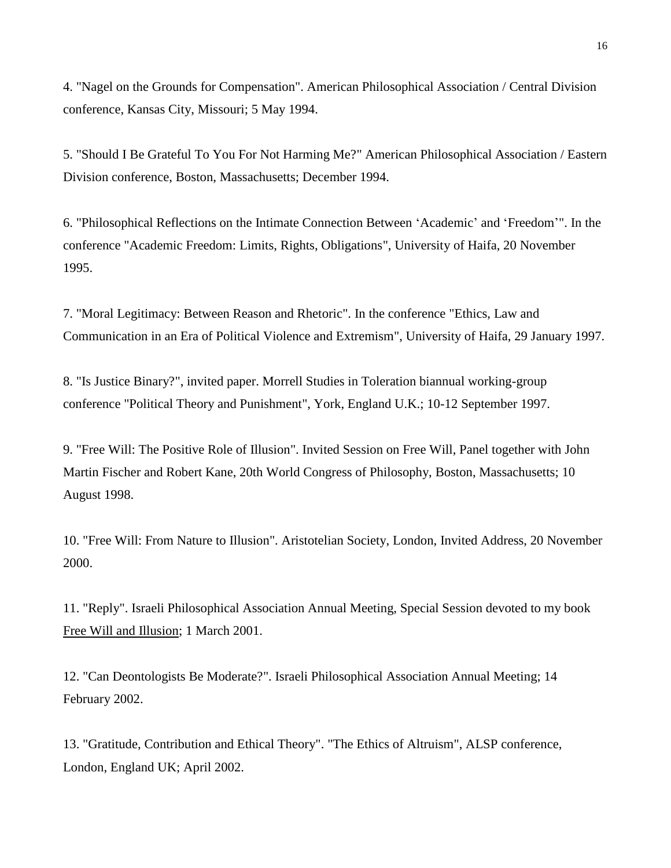4. "Nagel on the Grounds for Compensation". American Philosophical Association / Central Division conference, Kansas City, Missouri; 5 May 1994.

5. "Should I Be Grateful To You For Not Harming Me?" American Philosophical Association / Eastern Division conference, Boston, Massachusetts; December 1994.

6. "Philosophical Reflections on the Intimate Connection Between 'Academic' and 'Freedom'". In the conference "Academic Freedom: Limits, Rights, Obligations", University of Haifa, 20 November 1995.

7. "Moral Legitimacy: Between Reason and Rhetoric". In the conference "Ethics, Law and Communication in an Era of Political Violence and Extremism", University of Haifa, 29 January 1997.

8. "Is Justice Binary?", invited paper. Morrell Studies in Toleration biannual working-group conference "Political Theory and Punishment", York, England U.K.; 10-12 September 1997.

9. "Free Will: The Positive Role of Illusion". Invited Session on Free Will, Panel together with John Martin Fischer and Robert Kane, 20th World Congress of Philosophy, Boston, Massachusetts; 10 August 1998.

10. "Free Will: From Nature to Illusion". Aristotelian Society, London, Invited Address, 20 November 2000.

11. "Reply". Israeli Philosophical Association Annual Meeting, Special Session devoted to my book Free Will and Illusion; 1 March 2001.

12. "Can Deontologists Be Moderate?". Israeli Philosophical Association Annual Meeting; 14 February 2002.

13. "Gratitude, Contribution and Ethical Theory". "The Ethics of Altruism", ALSP conference, London, England UK; April 2002.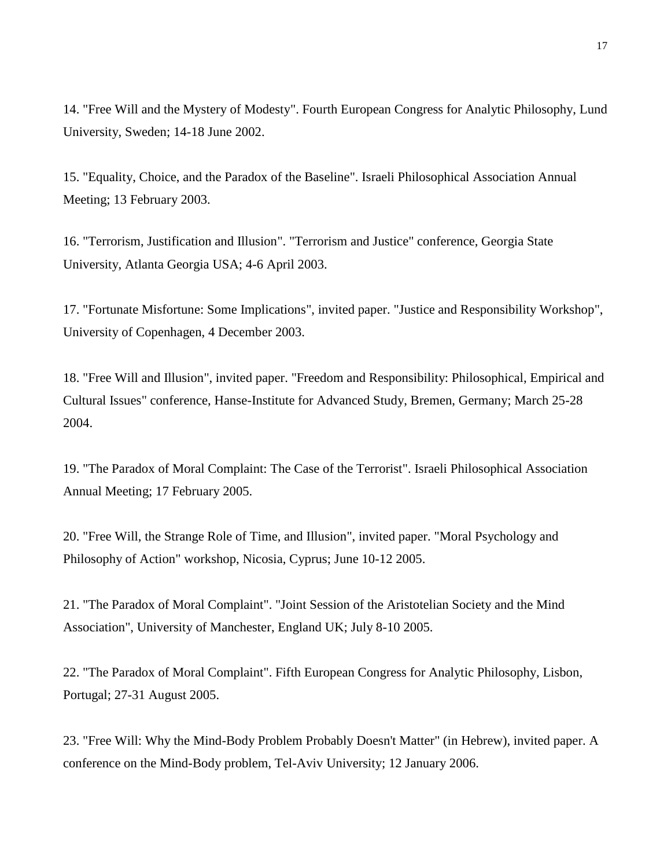14. "Free Will and the Mystery of Modesty". Fourth European Congress for Analytic Philosophy, Lund University, Sweden; 14-18 June 2002.

15. "Equality, Choice, and the Paradox of the Baseline". Israeli Philosophical Association Annual Meeting; 13 February 2003.

16. "Terrorism, Justification and Illusion". "Terrorism and Justice" conference, Georgia State University, Atlanta Georgia USA; 4-6 April 2003.

17. "Fortunate Misfortune: Some Implications", invited paper. "Justice and Responsibility Workshop", University of Copenhagen, 4 December 2003.

18. "Free Will and Illusion", invited paper. "Freedom and Responsibility: Philosophical, Empirical and Cultural Issues" conference, Hanse-Institute for Advanced Study, Bremen, Germany; March 25-28 2004.

19. "The Paradox of Moral Complaint: The Case of the Terrorist". Israeli Philosophical Association Annual Meeting; 17 February 2005.

20. "Free Will, the Strange Role of Time, and Illusion", invited paper. "Moral Psychology and Philosophy of Action" workshop, Nicosia, Cyprus; June 10-12 2005.

21. "The Paradox of Moral Complaint". "Joint Session of the Aristotelian Society and the Mind Association", University of Manchester, England UK; July 8-10 2005.

22. "The Paradox of Moral Complaint". Fifth European Congress for Analytic Philosophy, Lisbon, Portugal; 27-31 August 2005.

23. "Free Will: Why the Mind-Body Problem Probably Doesn't Matter" (in Hebrew), invited paper. A conference on the Mind-Body problem, Tel-Aviv University; 12 January 2006.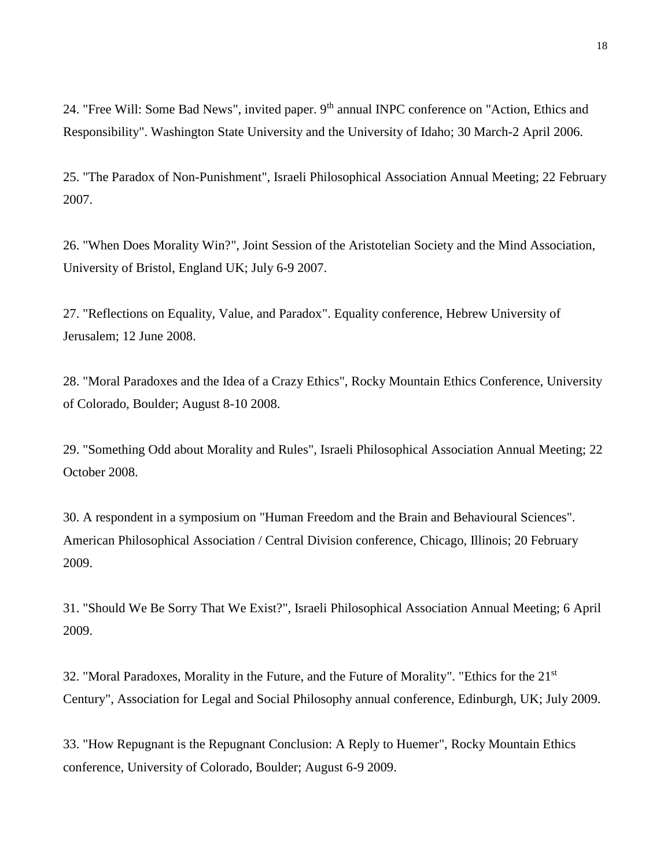24. "Free Will: Some Bad News", invited paper. 9<sup>th</sup> annual INPC conference on "Action, Ethics and Responsibility". Washington State University and the University of Idaho; 30 March-2 April 2006.

25. "The Paradox of Non-Punishment", Israeli Philosophical Association Annual Meeting; 22 February 2007.

26. "When Does Morality Win?", Joint Session of the Aristotelian Society and the Mind Association, University of Bristol, England UK; July 6-9 2007.

27. "Reflections on Equality, Value, and Paradox". Equality conference, Hebrew University of Jerusalem; 12 June 2008.

28. "Moral Paradoxes and the Idea of a Crazy Ethics", Rocky Mountain Ethics Conference, University of Colorado, Boulder; August 8-10 2008.

29. "Something Odd about Morality and Rules", Israeli Philosophical Association Annual Meeting; 22 October 2008.

30. A respondent in a symposium on "Human Freedom and the Brain and Behavioural Sciences". American Philosophical Association / Central Division conference, Chicago, Illinois; 20 February 2009.

31. "Should We Be Sorry That We Exist?", Israeli Philosophical Association Annual Meeting; 6 April 2009.

32. "Moral Paradoxes, Morality in the Future, and the Future of Morality". "Ethics for the 21st Century", Association for Legal and Social Philosophy annual conference, Edinburgh, UK; July 2009.

33. "How Repugnant is the Repugnant Conclusion: A Reply to Huemer", Rocky Mountain Ethics conference, University of Colorado, Boulder; August 6-9 2009.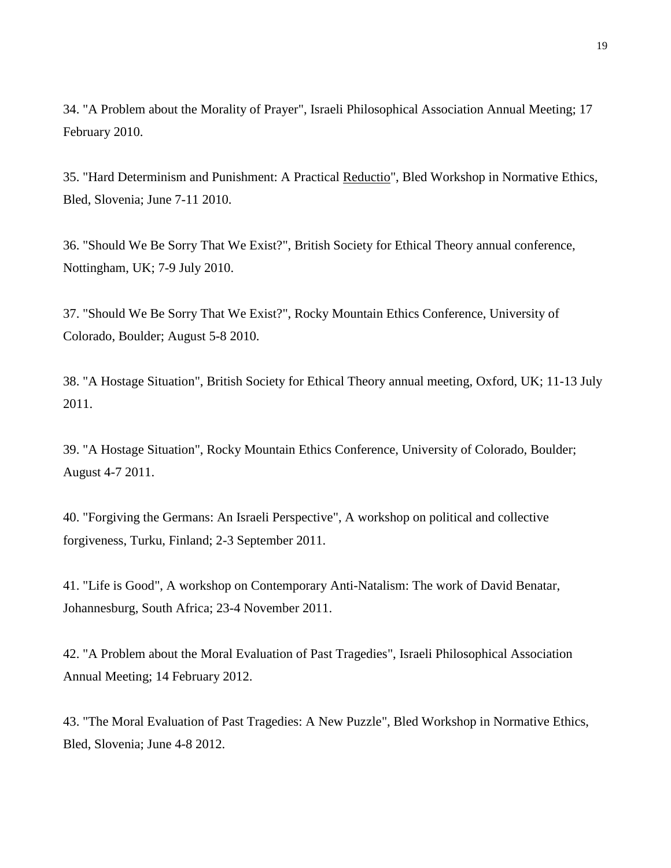34. "A Problem about the Morality of Prayer", Israeli Philosophical Association Annual Meeting; 17 February 2010.

35. "Hard Determinism and Punishment: A Practical Reductio", Bled Workshop in Normative Ethics, Bled, Slovenia; June 7-11 2010.

36. "Should We Be Sorry That We Exist?", British Society for Ethical Theory annual conference, Nottingham, UK; 7-9 July 2010.

37. "Should We Be Sorry That We Exist?", Rocky Mountain Ethics Conference, University of Colorado, Boulder; August 5-8 2010.

38. "A Hostage Situation", British Society for Ethical Theory annual meeting, Oxford, UK; 11-13 July 2011.

39. "A Hostage Situation", Rocky Mountain Ethics Conference, University of Colorado, Boulder; August 4-7 2011.

40. "Forgiving the Germans: An Israeli Perspective", A workshop on political and collective forgiveness, Turku, Finland; 2-3 September 2011.

41. "Life is Good", A workshop on Contemporary Anti-Natalism: The work of David Benatar, Johannesburg, South Africa; 23-4 November 2011.

42. "A Problem about the Moral Evaluation of Past Tragedies", Israeli Philosophical Association Annual Meeting; 14 February 2012.

43. "The Moral Evaluation of Past Tragedies: A New Puzzle", Bled Workshop in Normative Ethics, Bled, Slovenia; June 4-8 2012.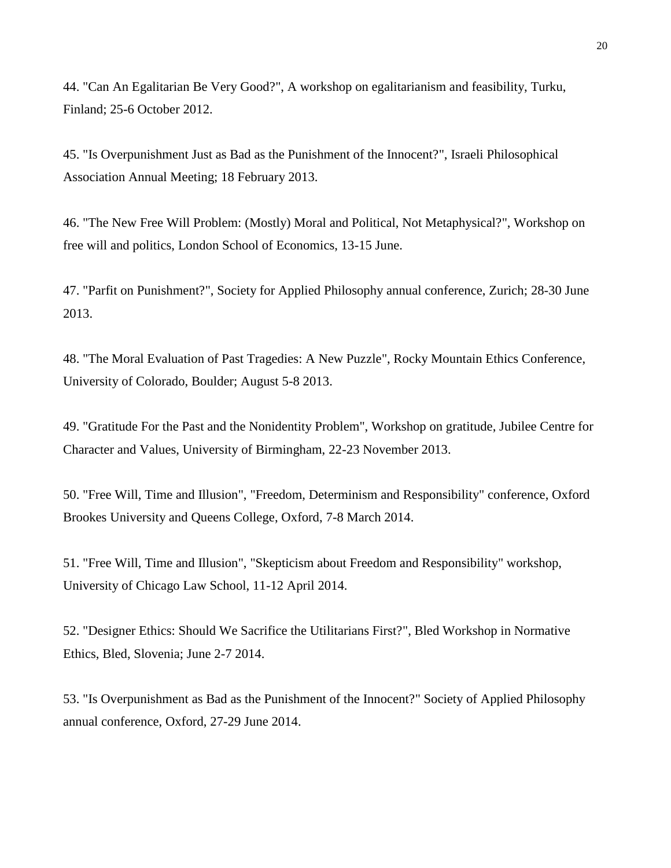44. "Can An Egalitarian Be Very Good?", A workshop on egalitarianism and feasibility, Turku, Finland; 25-6 October 2012.

45. "Is Overpunishment Just as Bad as the Punishment of the Innocent?", Israeli Philosophical Association Annual Meeting; 18 February 2013.

46. "The New Free Will Problem: (Mostly) Moral and Political, Not Metaphysical?", Workshop on free will and politics, London School of Economics, 13-15 June.

47. "Parfit on Punishment?", Society for Applied Philosophy annual conference, Zurich; 28-30 June 2013.

48. "The Moral Evaluation of Past Tragedies: A New Puzzle", Rocky Mountain Ethics Conference, University of Colorado, Boulder; August 5-8 2013.

49. "Gratitude For the Past and the Nonidentity Problem", Workshop on gratitude, Jubilee Centre for Character and Values, University of Birmingham, 22-23 November 2013.

50. "Free Will, Time and Illusion", "Freedom, Determinism and Responsibility" conference, Oxford Brookes University and Queens College, Oxford, 7-8 March 2014.

51. "Free Will, Time and Illusion", "Skepticism about Freedom and Responsibility" workshop, University of Chicago Law School, 11-12 April 2014.

52. "Designer Ethics: Should We Sacrifice the Utilitarians First?", Bled Workshop in Normative Ethics, Bled, Slovenia; June 2-7 2014.

53. "Is Overpunishment as Bad as the Punishment of the Innocent?" Society of Applied Philosophy annual conference, Oxford, 27-29 June 2014.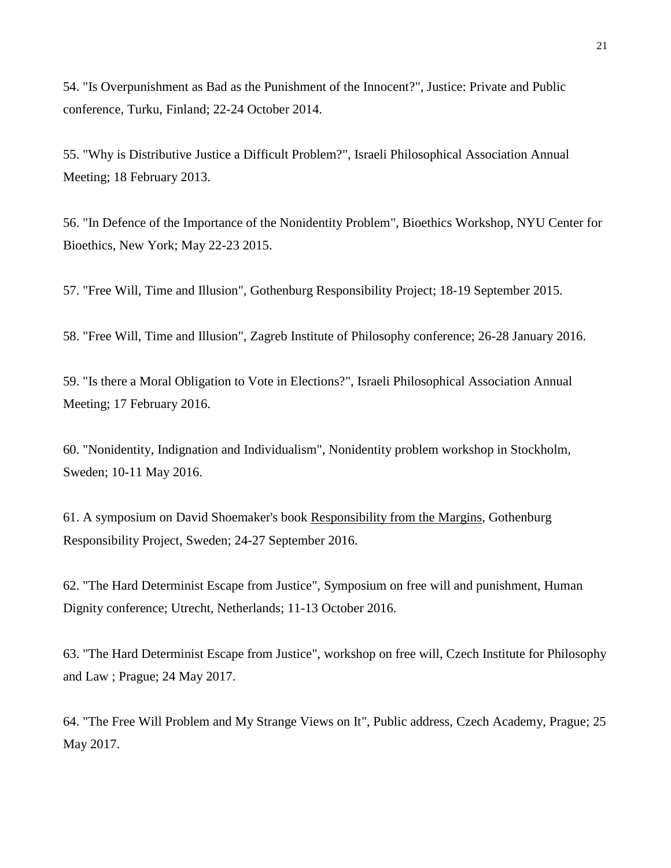54. "Is Overpunishment as Bad as the Punishment of the Innocent?", Justice: Private and Public conference, Turku, Finland; 22-24 October 2014.

55. "Why is Distributive Justice a Difficult Problem?", Israeli Philosophical Association Annual Meeting; 18 February 2013.

56. "In Defence of the Importance of the Nonidentity Problem", Bioethics Workshop, NYU Center for Bioethics, New York; May 22-23 2015.

57. "Free Will, Time and Illusion", Gothenburg Responsibility Project; 18-19 September 2015.

58. "Free Will, Time and Illusion", Zagreb Institute of Philosophy conference; 26-28 January 2016.

59. "Is there a Moral Obligation to Vote in Elections?", Israeli Philosophical Association Annual Meeting; 17 February 2016.

60. "Nonidentity, Indignation and Individualism", Nonidentity problem workshop in Stockholm, Sweden; 10-11 May 2016.

61. A symposium on David Shoemaker's book Responsibility from the Margins, Gothenburg Responsibility Project, Sweden; 24-27 September 2016.

62. "The Hard Determinist Escape from Justice", Symposium on free will and punishment, Human Dignity conference; Utrecht, Netherlands; 11-13 October 2016.

63. "The Hard Determinist Escape from Justice", workshop on free will, Czech Institute for Philosophy and Law ; Prague; 24 May 2017.

64. "The Free Will Problem and My Strange Views on It", Public address, Czech Academy, Prague; 25 May 2017.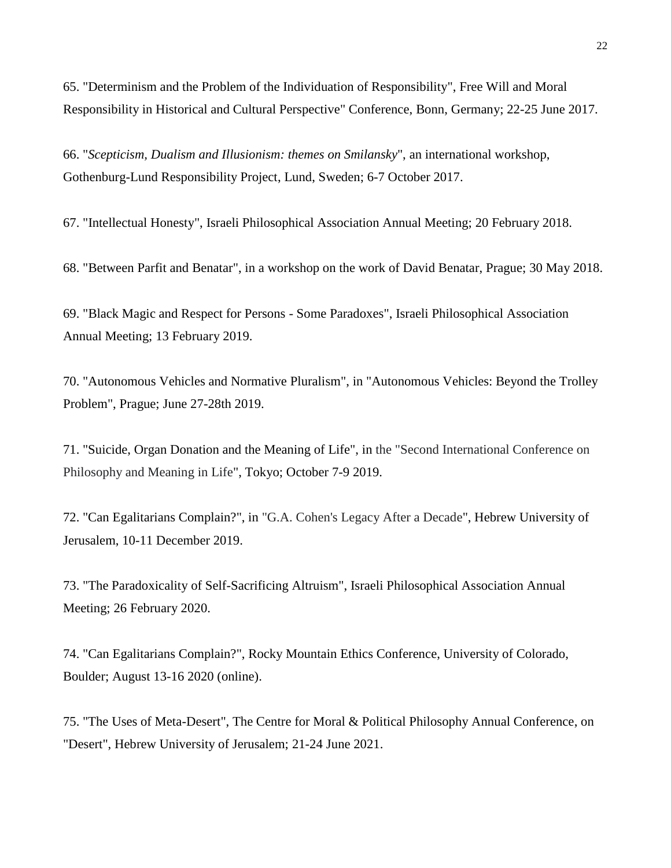65. "Determinism and the Problem of the Individuation of Responsibility", Free Will and Moral Responsibility in Historical and Cultural Perspective" Conference, Bonn, Germany; 22-25 June 2017.

66. "*Scepticism, Dualism and Illusionism: themes on Smilansky*", an international workshop, Gothenburg-Lund Responsibility Project, Lund, Sweden; 6-7 October 2017.

67. "Intellectual Honesty", Israeli Philosophical Association Annual Meeting; 20 February 2018.

68. "Between Parfit and Benatar", in a workshop on the work of David Benatar, Prague; 30 May 2018.

69. "Black Magic and Respect for Persons - Some Paradoxes", Israeli Philosophical Association Annual Meeting; 13 February 2019.

70. "Autonomous Vehicles and Normative Pluralism", in "Autonomous Vehicles: Beyond the Trolley Problem", Prague; June 27-28th 2019.

71. "Suicide, Organ Donation and the Meaning of Life", in the "Second International Conference on Philosophy and Meaning in Life", Tokyo; October 7-9 2019.

72. "Can Egalitarians Complain?", in "G.A. Cohen's Legacy After a Decade", Hebrew University of Jerusalem, 10-11 December 2019.

73. "The Paradoxicality of Self-Sacrificing Altruism", Israeli Philosophical Association Annual Meeting; 26 February 2020.

74. "Can Egalitarians Complain?", Rocky Mountain Ethics Conference, University of Colorado, Boulder; August 13-16 2020 (online).

75. "The Uses of Meta-Desert", The Centre for Moral & Political Philosophy Annual Conference, on "Desert", Hebrew University of Jerusalem; 21-24 June 2021.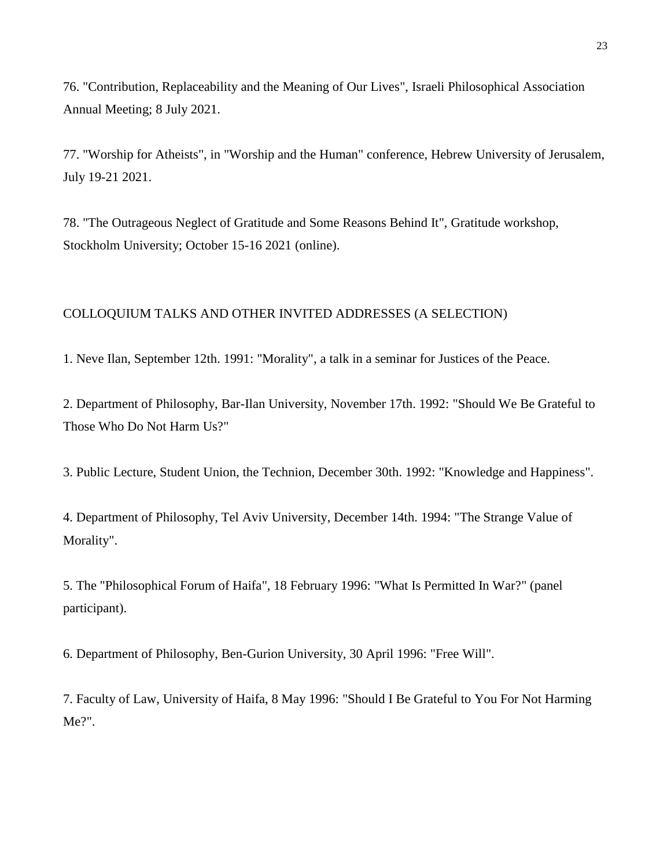76. "Contribution, Replaceability and the Meaning of Our Lives", Israeli Philosophical Association Annual Meeting; 8 July 2021.

77. "Worship for Atheists", in "Worship and the Human" conference, Hebrew University of Jerusalem, July 19-21 2021.

78. "The Outrageous Neglect of Gratitude and Some Reasons Behind It", Gratitude workshop, Stockholm University; October 15-16 2021 (online).

#### COLLOQUIUM TALKS AND OTHER INVITED ADDRESSES (A SELECTION)

1. Neve Ilan, September 12th. 1991: "Morality", a talk in a seminar for Justices of the Peace.

2. Department of Philosophy, Bar-Ilan University, November 17th. 1992: "Should We Be Grateful to Those Who Do Not Harm Us?"

3. Public Lecture, Student Union, the Technion, December 30th. 1992: "Knowledge and Happiness".

4. Department of Philosophy, Tel Aviv University, December 14th. 1994: "The Strange Value of Morality".

5. The "Philosophical Forum of Haifa", 18 February 1996: "What Is Permitted In War?" (panel participant).

6. Department of Philosophy, Ben-Gurion University, 30 April 1996: "Free Will".

7. Faculty of Law, University of Haifa, 8 May 1996: "Should I Be Grateful to You For Not Harming Me?".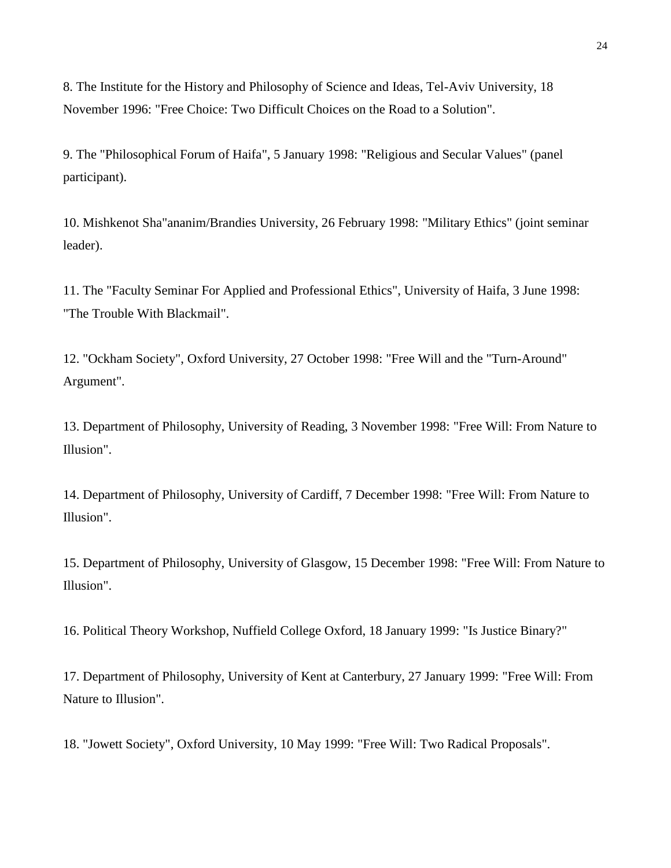8. The Institute for the History and Philosophy of Science and Ideas, Tel-Aviv University, 18 November 1996: "Free Choice: Two Difficult Choices on the Road to a Solution".

9. The "Philosophical Forum of Haifa", 5 January 1998: "Religious and Secular Values" (panel participant).

10. Mishkenot Sha"ananim/Brandies University, 26 February 1998: "Military Ethics" (joint seminar leader).

11. The "Faculty Seminar For Applied and Professional Ethics", University of Haifa, 3 June 1998: "The Trouble With Blackmail".

12. "Ockham Society", Oxford University, 27 October 1998: "Free Will and the "Turn-Around" Argument".

13. Department of Philosophy, University of Reading, 3 November 1998: "Free Will: From Nature to Illusion".

14. Department of Philosophy, University of Cardiff, 7 December 1998: "Free Will: From Nature to Illusion".

15. Department of Philosophy, University of Glasgow, 15 December 1998: "Free Will: From Nature to Illusion".

16. Political Theory Workshop, Nuffield College Oxford, 18 January 1999: "Is Justice Binary?"

17. Department of Philosophy, University of Kent at Canterbury, 27 January 1999: "Free Will: From Nature to Illusion".

18. "Jowett Society", Oxford University, 10 May 1999: "Free Will: Two Radical Proposals".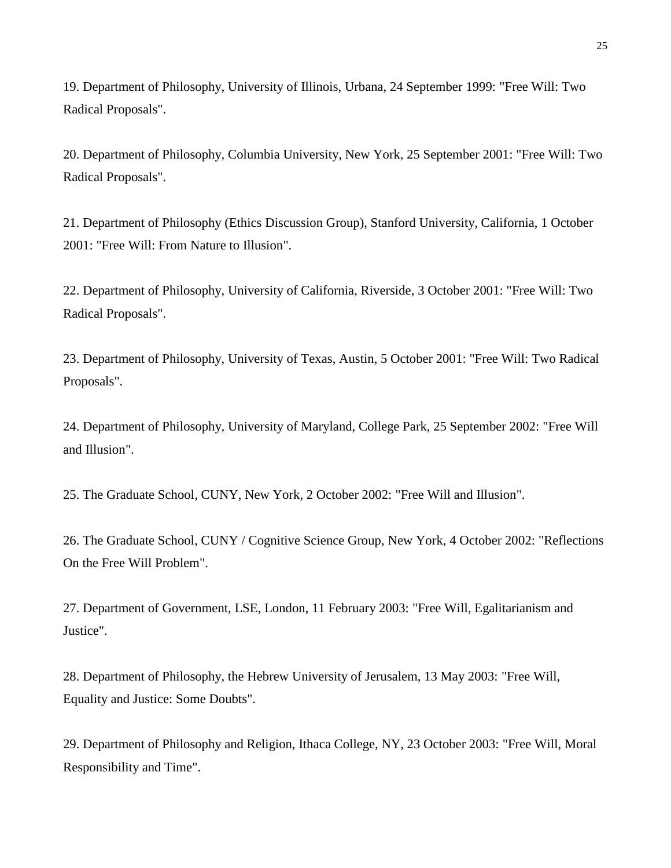19. Department of Philosophy, University of Illinois, Urbana, 24 September 1999: "Free Will: Two Radical Proposals".

20. Department of Philosophy, Columbia University, New York, 25 September 2001: "Free Will: Two Radical Proposals".

21. Department of Philosophy (Ethics Discussion Group), Stanford University, California, 1 October 2001: "Free Will: From Nature to Illusion".

22. Department of Philosophy, University of California, Riverside, 3 October 2001: "Free Will: Two Radical Proposals".

23. Department of Philosophy, University of Texas, Austin, 5 October 2001: "Free Will: Two Radical Proposals".

24. Department of Philosophy, University of Maryland, College Park, 25 September 2002: "Free Will and Illusion".

25. The Graduate School, CUNY, New York, 2 October 2002: "Free Will and Illusion".

26. The Graduate School, CUNY / Cognitive Science Group, New York, 4 October 2002: "Reflections On the Free Will Problem".

27. Department of Government, LSE, London, 11 February 2003: "Free Will, Egalitarianism and Justice".

28. Department of Philosophy, the Hebrew University of Jerusalem, 13 May 2003: "Free Will, Equality and Justice: Some Doubts".

29. Department of Philosophy and Religion, Ithaca College, NY, 23 October 2003: "Free Will, Moral Responsibility and Time".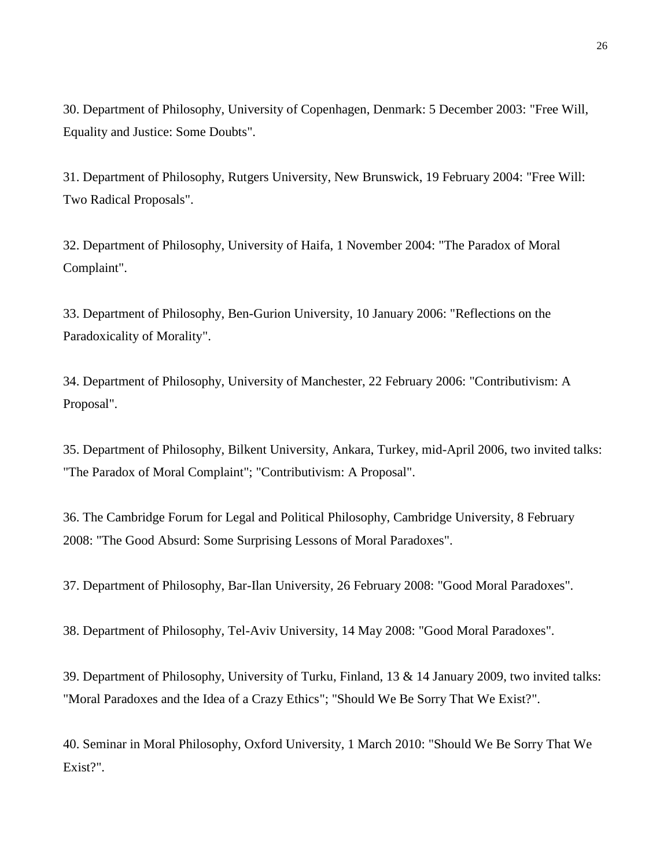30. Department of Philosophy, University of Copenhagen, Denmark: 5 December 2003: "Free Will, Equality and Justice: Some Doubts".

31. Department of Philosophy, Rutgers University, New Brunswick, 19 February 2004: "Free Will: Two Radical Proposals".

32. Department of Philosophy, University of Haifa, 1 November 2004: "The Paradox of Moral Complaint".

33. Department of Philosophy, Ben-Gurion University, 10 January 2006: "Reflections on the Paradoxicality of Morality".

34. Department of Philosophy, University of Manchester, 22 February 2006: "Contributivism: A Proposal".

35. Department of Philosophy, Bilkent University, Ankara, Turkey, mid-April 2006, two invited talks: "The Paradox of Moral Complaint"; "Contributivism: A Proposal".

36. The Cambridge Forum for Legal and Political Philosophy, Cambridge University, 8 February 2008: "The Good Absurd: Some Surprising Lessons of Moral Paradoxes".

37. Department of Philosophy, Bar-Ilan University, 26 February 2008: "Good Moral Paradoxes".

38. Department of Philosophy, Tel-Aviv University, 14 May 2008: "Good Moral Paradoxes".

39. Department of Philosophy, University of Turku, Finland, 13 & 14 January 2009, two invited talks: "Moral Paradoxes and the Idea of a Crazy Ethics"; "Should We Be Sorry That We Exist?".

40. Seminar in Moral Philosophy, Oxford University, 1 March 2010: "Should We Be Sorry That We Exist?".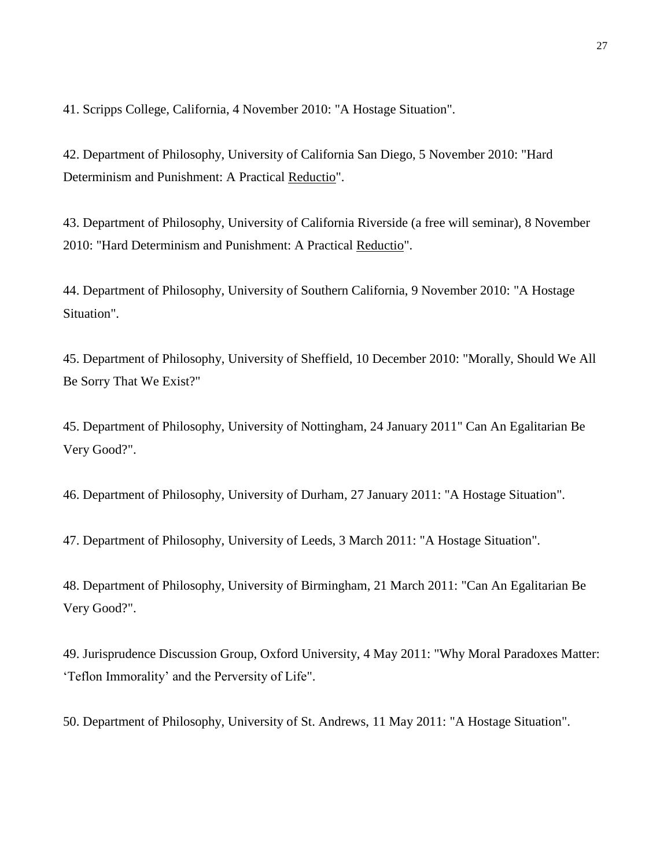41. Scripps College, California, 4 November 2010: "A Hostage Situation".

42. Department of Philosophy, University of California San Diego, 5 November 2010: "Hard Determinism and Punishment: A Practical Reductio".

43. Department of Philosophy, University of California Riverside (a free will seminar), 8 November 2010: "Hard Determinism and Punishment: A Practical Reductio".

44. Department of Philosophy, University of Southern California, 9 November 2010: "A Hostage Situation".

45. Department of Philosophy, University of Sheffield, 10 December 2010: "Morally, Should We All Be Sorry That We Exist?"

45. Department of Philosophy, University of Nottingham, 24 January 2011" Can An Egalitarian Be Very Good?".

46. Department of Philosophy, University of Durham, 27 January 2011: "A Hostage Situation".

47. Department of Philosophy, University of Leeds, 3 March 2011: "A Hostage Situation".

48. Department of Philosophy, University of Birmingham, 21 March 2011: "Can An Egalitarian Be Very Good?".

49. Jurisprudence Discussion Group, Oxford University, 4 May 2011: "Why Moral Paradoxes Matter: 'Teflon Immorality' and the Perversity of Life".

50. Department of Philosophy, University of St. Andrews, 11 May 2011: "A Hostage Situation".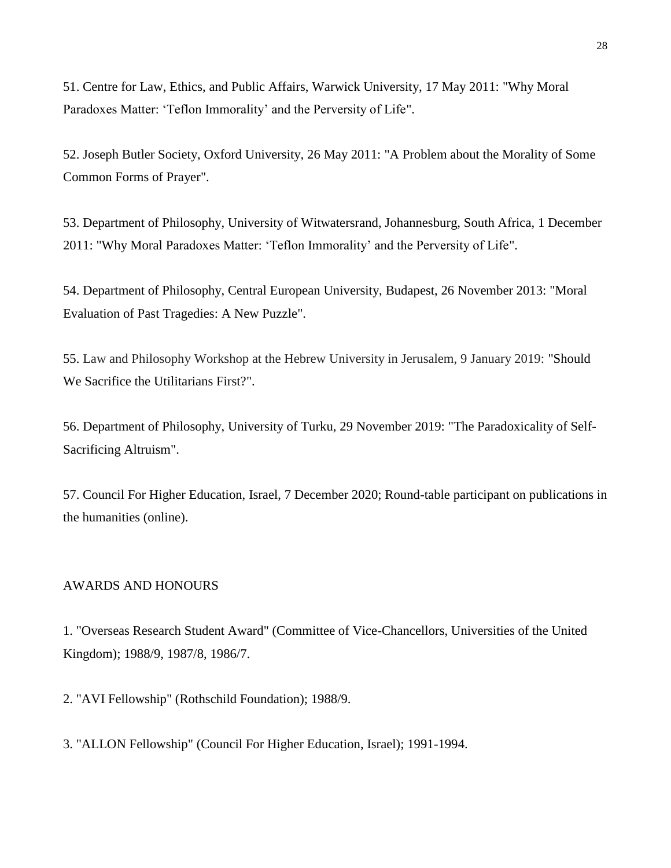51. Centre for Law, Ethics, and Public Affairs, Warwick University, 17 May 2011: "Why Moral Paradoxes Matter: 'Teflon Immorality' and the Perversity of Life".

52. Joseph Butler Society, Oxford University, 26 May 2011: "A Problem about the Morality of Some Common Forms of Prayer".

53. Department of Philosophy, University of Witwatersrand, Johannesburg, South Africa, 1 December 2011: "Why Moral Paradoxes Matter: 'Teflon Immorality' and the Perversity of Life".

54. Department of Philosophy, Central European University, Budapest, 26 November 2013: "Moral Evaluation of Past Tragedies: A New Puzzle".

55. Law and Philosophy Workshop at the Hebrew University in Jerusalem, 9 January 2019: "Should We Sacrifice the Utilitarians First?".

56. Department of Philosophy, University of Turku, 29 November 2019: "The Paradoxicality of Self-Sacrificing Altruism".

57. Council For Higher Education, Israel, 7 December 2020; Round-table participant on publications in the humanities (online).

### AWARDS AND HONOURS

1. "Overseas Research Student Award" (Committee of Vice-Chancellors, Universities of the United Kingdom); 1988/9, 1987/8, 1986/7.

2. "AVI Fellowship" (Rothschild Foundation); 1988/9.

3. "ALLON Fellowship" (Council For Higher Education, Israel); 1991-1994.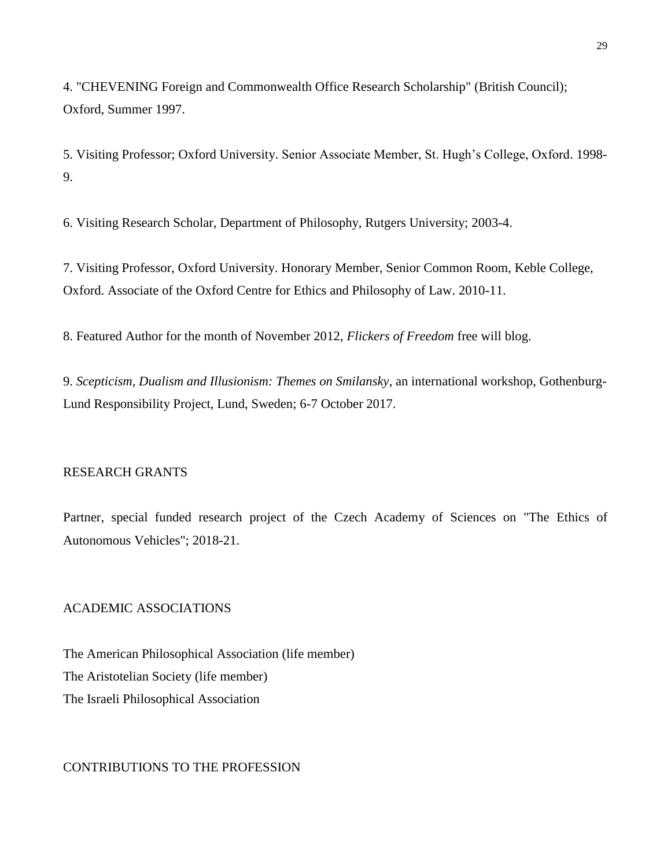4. "CHEVENING Foreign and Commonwealth Office Research Scholarship" (British Council); Oxford, Summer 1997.

5. Visiting Professor; Oxford University. Senior Associate Member, St. Hugh's College, Oxford. 1998- 9.

6. Visiting Research Scholar, Department of Philosophy, Rutgers University; 2003-4.

7. Visiting Professor, Oxford University. Honorary Member, Senior Common Room, Keble College, Oxford. Associate of the Oxford Centre for Ethics and Philosophy of Law. 2010-11.

8. Featured Author for the month of November 2012, *Flickers of Freedom* free will blog.

9. *Scepticism, Dualism and Illusionism: Themes on Smilansky*, an international workshop, Gothenburg-Lund Responsibility Project, Lund, Sweden; 6-7 October 2017.

#### RESEARCH GRANTS

Partner, special funded research project of the Czech Academy of Sciences on "The Ethics of Autonomous Vehicles"; 2018-21.

# ACADEMIC ASSOCIATIONS

The American Philosophical Association (life member) The Aristotelian Society (life member) The Israeli Philosophical Association

#### CONTRIBUTIONS TO THE PROFESSION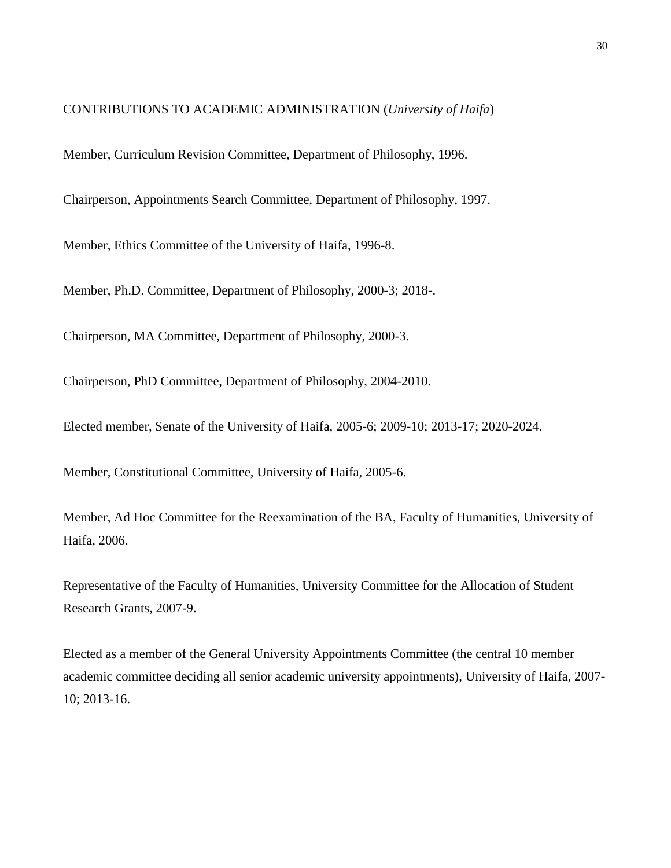CONTRIBUTIONS TO ACADEMIC ADMINISTRATION (*University of Haifa*)

Member, Curriculum Revision Committee, Department of Philosophy, 1996.

Chairperson, Appointments Search Committee, Department of Philosophy, 1997.

Member, Ethics Committee of the University of Haifa, 1996-8.

Member, Ph.D. Committee, Department of Philosophy, 2000-3; 2018-.

Chairperson, MA Committee, Department of Philosophy, 2000-3.

Chairperson, PhD Committee, Department of Philosophy, 2004-2010.

Elected member, Senate of the University of Haifa, 2005-6; 2009-10; 2013-17; 2020-2024.

Member, Constitutional Committee, University of Haifa, 2005-6.

Member, Ad Hoc Committee for the Reexamination of the BA, Faculty of Humanities, University of Haifa, 2006.

Representative of the Faculty of Humanities, University Committee for the Allocation of Student Research Grants, 2007-9.

Elected as a member of the General University Appointments Committee (the central 10 member academic committee deciding all senior academic university appointments), University of Haifa, 2007- 10; 2013-16.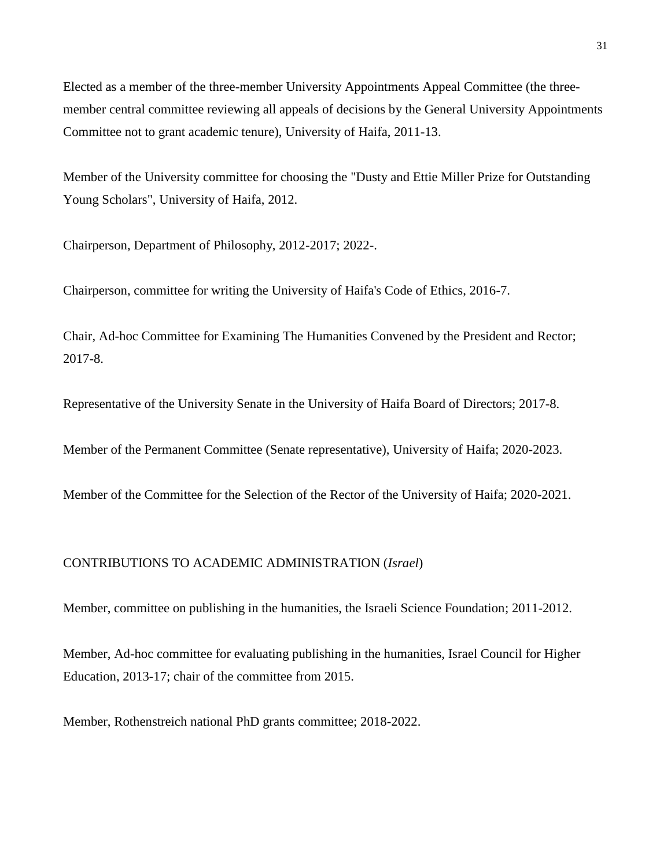Elected as a member of the three-member University Appointments Appeal Committee (the threemember central committee reviewing all appeals of decisions by the General University Appointments Committee not to grant academic tenure), University of Haifa, 2011-13.

Member of the University committee for choosing the "Dusty and Ettie Miller Prize for Outstanding Young Scholars", University of Haifa, 2012.

Chairperson, Department of Philosophy, 2012-2017; 2022-.

Chairperson, committee for writing the University of Haifa's Code of Ethics, 2016-7.

Chair, Ad-hoc Committee for Examining The Humanities Convened by the President and Rector; 2017-8.

Representative of the University Senate in the University of Haifa Board of Directors; 2017-8.

Member of the Permanent Committee (Senate representative), University of Haifa; 2020-2023.

Member of the Committee for the Selection of the Rector of the University of Haifa; 2020-2021.

#### CONTRIBUTIONS TO ACADEMIC ADMINISTRATION (*Israel*)

Member, committee on publishing in the humanities, the Israeli Science Foundation; 2011-2012.

Member, Ad-hoc committee for evaluating publishing in the humanities, Israel Council for Higher Education, 2013-17; chair of the committee from 2015.

Member, Rothenstreich national PhD grants committee; 2018-2022.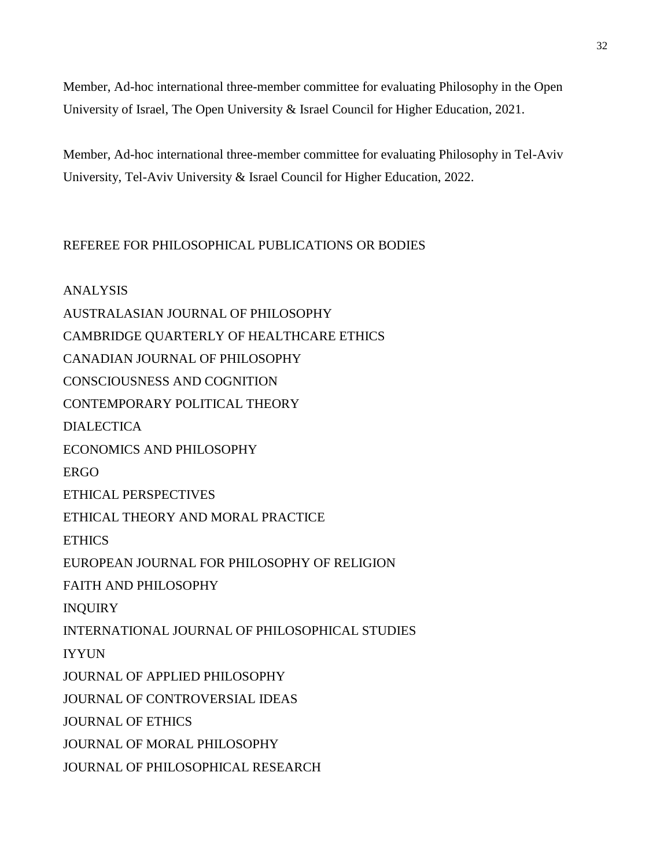Member, Ad-hoc international three-member committee for evaluating Philosophy in the Open University of Israel, The Open University & Israel Council for Higher Education, 2021.

Member, Ad-hoc international three-member committee for evaluating Philosophy in Tel-Aviv University, Tel-Aviv University & Israel Council for Higher Education, 2022.

# REFEREE FOR PHILOSOPHICAL PUBLICATIONS OR BODIES

ANALYSIS AUSTRALASIAN JOURNAL OF PHILOSOPHY CAMBRIDGE QUARTERLY OF HEALTHCARE ETHICS CANADIAN JOURNAL OF PHILOSOPHY CONSCIOUSNESS AND COGNITION CONTEMPORARY POLITICAL THEORY DIALECTICA ECONOMICS AND PHILOSOPHY ERGO ETHICAL PERSPECTIVES ETHICAL THEORY AND MORAL PRACTICE **ETHICS** EUROPEAN JOURNAL FOR PHILOSOPHY OF RELIGION FAITH AND PHILOSOPHY INQUIRY INTERNATIONAL JOURNAL OF PHILOSOPHICAL STUDIES IYYUN JOURNAL OF APPLIED PHILOSOPHY JOURNAL OF CONTROVERSIAL IDEAS JOURNAL OF ETHICS JOURNAL OF MORAL PHILOSOPHY JOURNAL OF PHILOSOPHICAL RESEARCH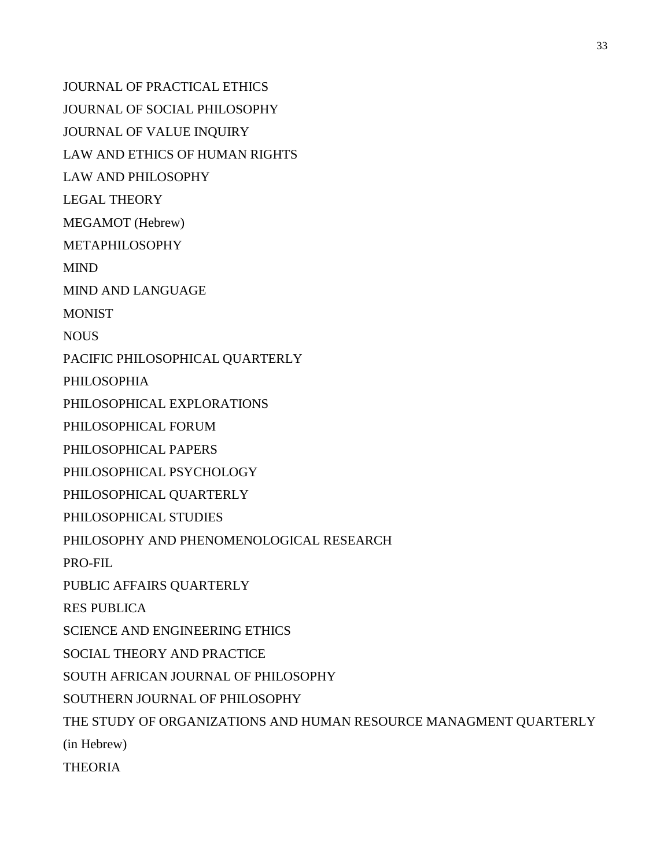JOURNAL OF PRACTICAL ETHICS JOURNAL OF SOCIAL PHILOSOPHY JOURNAL OF VALUE INQUIRY LAW AND ETHICS OF HUMAN RIGHTS LAW AND PHILOSOPHY LEGAL THEORY MEGAMOT (Hebrew) METAPHILOSOPHY MIND MIND AND LANGUAGE **MONIST NOUS** PACIFIC PHILOSOPHICAL QUARTERLY PHILOSOPHIA PHILOSOPHICAL EXPLORATIONS PHILOSOPHICAL FORUM PHILOSOPHICAL PAPERS PHILOSOPHICAL PSYCHOLOGY PHILOSOPHICAL QUARTERLY PHILOSOPHICAL STUDIES PHILOSOPHY AND PHENOMENOLOGICAL RESEARCH PRO-FIL PUBLIC AFFAIRS QUARTERLY RES PUBLICA SCIENCE AND ENGINEERING ETHICS SOCIAL THEORY AND PRACTICE SOUTH AFRICAN JOURNAL OF PHILOSOPHY SOUTHERN JOURNAL OF PHILOSOPHY THE STUDY OF ORGANIZATIONS AND HUMAN RESOURCE MANAGMENT QUARTERLY (in Hebrew) THEORIA